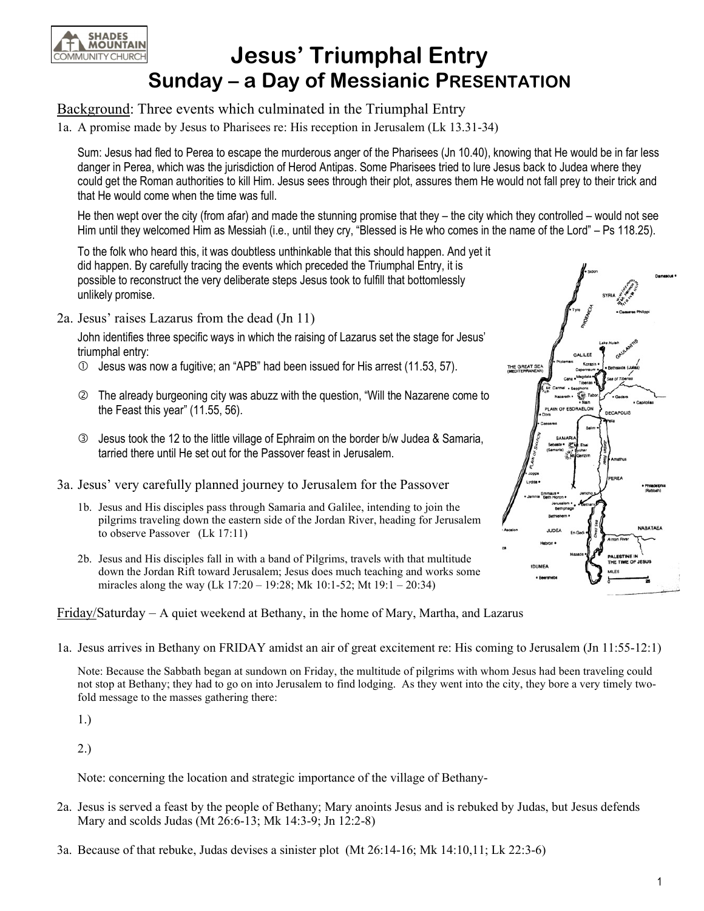

## Jesus' Triumphal Entry Sunday – a Day of Messianic PRESENTATION

## Background: Three events which culminated in the Triumphal Entry

1a. A promise made by Jesus to Pharisees re: His reception in Jerusalem (Lk 13.31-34)

Sum: Jesus had fled to Perea to escape the murderous anger of the Pharisees (Jn 10.40), knowing that He would be in far less danger in Perea, which was the jurisdiction of Herod Antipas. Some Pharisees tried to lure Jesus back to Judea where they could get the Roman authorities to kill Him. Jesus sees through their plot, assures them He would not fall prey to their trick and that He would come when the time was full.

 He then wept over the city (from afar) and made the stunning promise that they – the city which they controlled – would not see Him until they welcomed Him as Messiah (i.e., until they cry, "Blessed is He who comes in the name of the Lord" – Ps 118.25).

 To the folk who heard this, it was doubtless unthinkable that this should happen. And yet it did happen. By carefully tracing the events which preceded the Triumphal Entry, it is possible to reconstruct the very deliberate steps Jesus took to fulfill that bottomlessly unlikely promise.

2a. Jesus' raises Lazarus from the dead (Jn 11)

John identifies three specific ways in which the raising of Lazarus set the stage for Jesus' triumphal entry:

- $\Phi$  Jesus was now a fugitive; an "APB" had been issued for His arrest (11.53, 57).
- The already burgeoning city was abuzz with the question, "Will the Nazarene come to the Feast this year" (11.55, 56).
- Jesus took the 12 to the little village of Ephraim on the border b/w Judea & Samaria, tarried there until He set out for the Passover feast in Jerusalem.
- 3a. Jesus' very carefully planned journey to Jerusalem for the Passover
	- 1b. Jesus and His disciples pass through Samaria and Galilee, intending to join the pilgrims traveling down the eastern side of the Jordan River, heading for Jerusalem to observe Passover (Lk 17:11)
	- 2b. Jesus and His disciples fall in with a band of Pilgrims, travels with that multitude down the Jordan Rift toward Jerusalem; Jesus does much teaching and works some miracles along the way (Lk  $17:20 - 19:28$ ; Mk  $10:1-52$ ; Mt  $19:1 - 20:34$ )

Friday/Saturday – A quiet weekend at Bethany, in the home of Mary, Martha, and Lazarus

- THE GREAT SEA SDRAELON
- 1a. Jesus arrives in Bethany on FRIDAY amidst an air of great excitement re: His coming to Jerusalem (Jn 11:55-12:1)

Note: Because the Sabbath began at sundown on Friday, the multitude of pilgrims with whom Jesus had been traveling could not stop at Bethany; they had to go on into Jerusalem to find lodging. As they went into the city, they bore a very timely twofold message to the masses gathering there:

1.)

2.)

Note: concerning the location and strategic importance of the village of Bethany-

- 2a. Jesus is served a feast by the people of Bethany; Mary anoints Jesus and is rebuked by Judas, but Jesus defends Mary and scolds Judas (Mt 26:6-13; Mk 14:3-9; Jn 12:2-8)
- 3a. Because of that rebuke, Judas devises a sinister plot (Mt 26:14-16; Mk 14:10,11; Lk 22:3-6)